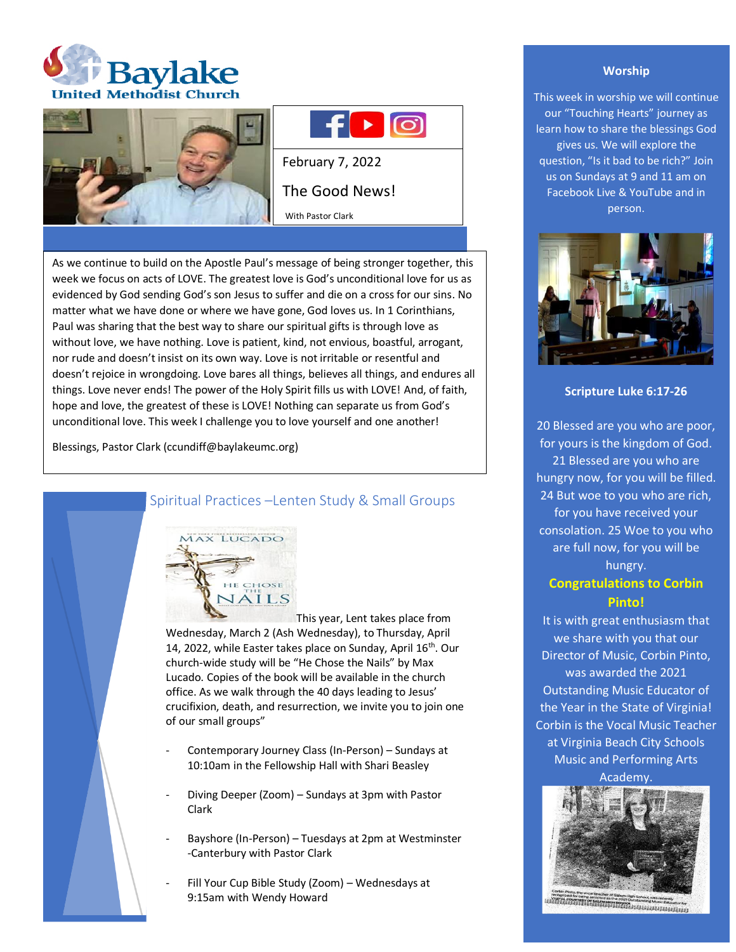





February 7, 2022 The Good News! With Pastor Clark

As we continue to build on the Apostle Paul's message of being stronger together, this week we focus on acts of LOVE. The greatest love is God's unconditional love for us as evidenced by God sending God's son Jesus to suffer and die on a cross for our sins. No matter what we have done or where we have gone, God loves us. In 1 Corinthians, Paul was sharing that the best way to share our spiritual gifts is through love as without love, we have nothing. Love is patient, kind, not envious, boastful, arrogant, nor rude and doesn't insist on its own way. Love is not irritable or resentful and doesn't rejoice in wrongdoing. Love bares all things, believes all things, and endures all things. Love never ends! The power of the Holy Spirit fills us with LOVE! And, of faith, hope and love, the greatest of these is LOVE! Nothing can separate us from God's unconditional love. This week I challenge you to love yourself and one another!

Blessings, Pastor Clark (ccundiff@baylakeumc.org)



# Spiritual Practices –Lenten Study & Small Groups

This year, Lent takes place from Wednesday, March 2 (Ash Wednesday), to Thursday, April 14, 2022, while Easter takes place on Sunday, April 16<sup>th</sup>. Our church-wide study will be "He Chose the Nails" by Max Lucado. Copies of the book will be available in the church office. As we walk through the 40 days leading to Jesus' crucifixion, death, and resurrection, we invite you to join one of our small groups"

- Contemporary Journey Class (In-Person) Sundays at 10:10am in the Fellowship Hall with Shari Beasley
- Diving Deeper (Zoom) Sundays at 3pm with Pastor Clark
- Bayshore (In-Person) Tuesdays at 2pm at Westminster -Canterbury with Pastor Clark
- Fill Your Cup Bible Study (Zoom) Wednesdays at 9:15am with Wendy Howard

### **Worship**

This week in worship we will continue our "Touching Hearts" journey as learn how to share the blessings God gives us. We will explore the question, "Is it bad to be rich?" Join us on Sundays at 9 and 11 am on Facebook Live & YouTube and in person.



### **Scripture Luke 6:17-26**

20 Blessed are you who are poor, for yours is the kingdom of God. 21 Blessed are you who are hungry now, for you will be filled. 24 But woe to you who are rich, for you have received your consolation. 25 Woe to you who are full now, for you will be hungry.

# **Congratulations to Corbin Pinto!**

It is with great enthusiasm that we share with you that our Director of Music, Corbin Pinto, was awarded the 2021 Outstanding Music Educator of the Year in the State of Virginia! Corbin is the Vocal Music Teacher at Virginia Beach City Schools Music and Performing Arts

Academy.